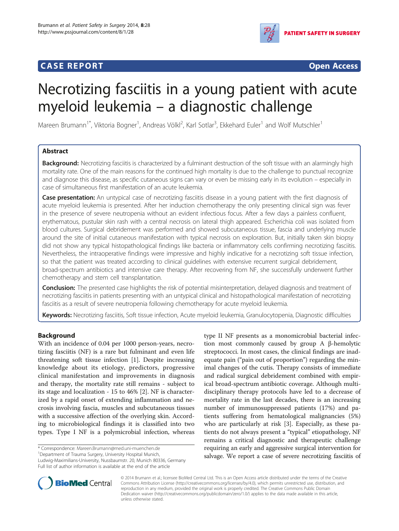## **CASE REPORT CASE REPORT CASE REPORT**



# Necrotizing fasciitis in a young patient with acute myeloid leukemia – a diagnostic challenge

Mareen Brumann<sup>1\*</sup>, Viktoria Bogner<sup>1</sup>, Andreas Völkl<sup>2</sup>, Karl Sotlar<sup>3</sup>, Ekkehard Euler<sup>1</sup> and Wolf Mutschler<sup>1</sup>

## Abstract

Background: Necrotizing fasciitis is characterized by a fulminant destruction of the soft tissue with an alarmingly high mortality rate. One of the main reasons for the continued high mortality is due to the challenge to punctual recognize and diagnose this disease, as specific cutaneous signs can vary or even be missing early in its evolution – especially in case of simultaneous first manifestation of an acute leukemia.

Case presentation: An untypical case of necrotizing fasciitis disease in a young patient with the first diagnosis of acute myeloid leukemia is presented. After her induction chemotherapy the only presenting clinical sign was fever in the presence of severe neutropenia without an evident infectious focus. After a few days a painless confluent, erythematous, pustular skin rash with a central necrosis on lateral thigh appeared. Escherichia coli was isolated from blood cultures. Surgical debridement was performed and showed subcutaneous tissue, fascia and underlying muscle around the site of initial cutaneous manifestation with typical necrosis on exploration. But, initially taken skin biopsy did not show any typical histopathological findings like bacteria or inflammatory cells confirming necrotizing fasciitis. Nevertheless, the intraoperative findings were impressive and highly indicative for a necrotizing soft tissue infection, so that the patient was treated according to clinical guidelines with extensive recurrent surgical debridement, broad-spectrum antibiotics and intensive care therapy. After recovering from NF, she successfully underwent further chemotherapy and stem cell transplantation.

**Conclusion:** The presented case highlights the risk of potential misinterpretation, delayed diagnosis and treatment of necrotizing fasciitis in patients presenting with an untypical clinical and histopathological manifestation of necrotizing fasciitis as a result of severe neutropenia following chemotherapy for acute myeloid leukemia.

Keywords: Necrotizing fasciitis, Soft tissue infection, Acute myeloid leukemia, Granulocytopenia, Diagnostic difficulties

## Background

With an incidence of 0.04 per 1000 person-years, necrotizing fasciitis (NF) is a rare but fulminant and even life threatening soft tissue infection [[1\]](#page-6-0). Despite increasing knowledge about its etiology, predictors, progressive clinical manifestation and improvements in diagnosis and therapy, the mortality rate still remains - subject to its stage and localization - 15 to 46% [[2\]](#page-6-0). NF is characterized by a rapid onset of extending inflammation and necrosis involving fascia, muscles and subcutaneous tissues with a successive affection of the overlying skin. According to microbiological findings it is classified into two types. Type I NF is a polymicrobial infection, whereas

\* Correspondence: [Mareen.Brumann@med.uni-muenchen.de](mailto:Mareen.Brumann@med.uni-muenchen.de) <sup>1</sup> <sup>1</sup> Department of Trauma Surgery, University Hospital Munich,

Ludwig-Maximilians-University, Nussbaumstr. 20, Munich 80336, Germany Full list of author information is available at the end of the article

type II NF presents as a monomicrobial bacterial infection most commonly caused by group A β-hemolytic streptococci. In most cases, the clinical findings are inadequate pain ("pain out of proportion") regarding the minimal changes of the cutis. Therapy consists of immediate and radical surgical debridement combined with empirical broad-spectrum antibiotic coverage. Although multidisciplinary therapy protocols have led to a decrease of mortality rate in the last decades, there is an increasing number of immunosuppressed patients (17%) and patients suffering from hematological malignancies (5%) who are particularly at risk [\[3](#page-6-0)]. Especially, as these patients do not always present a "typical" etiopathology, NF remains a critical diagnostic and therapeutic challenge requiring an early and aggressive surgical intervention for salvage. We report a case of severe necrotizing fasciitis of



© 2014 Brumann et al.; licensee BioMed Central Ltd. This is an Open Access article distributed under the terms of the Creative Commons Attribution License [\(http://creativecommons.org/licenses/by/4.0\)](http://creativecommons.org/licenses/by/4.0), which permits unrestricted use, distribution, and reproduction in any medium, provided the original work is properly credited. The Creative Commons Public Domain Dedication waiver [\(http://creativecommons.org/publicdomain/zero/1.0/](http://creativecommons.org/publicdomain/zero/1.0/)) applies to the data made available in this article, unless otherwise stated.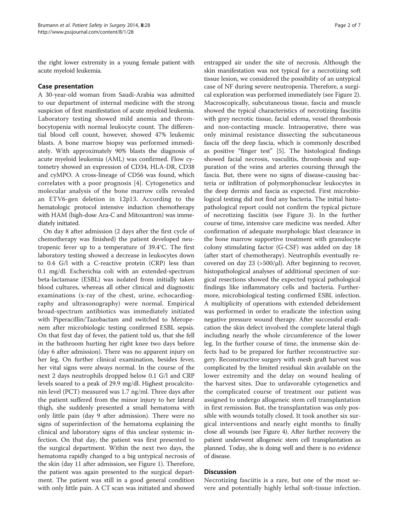the right lower extremity in a young female patient with acute myeloid leukemia.

## Case presentation

A 30-year-old woman from Saudi-Arabia was admitted to our department of internal medicine with the strong suspicion of first manifestation of acute myeloid leukemia. Laboratory testing showed mild anemia and thrombocytopenia with normal leukocyte count. The differential blood cell count, however, showed 47% leukemic blasts. A bone marrow biopsy was performed immediately. With approximately 90% blasts the diagnosis of acute myeloid leukemia (AML) was confirmed. Flow cytometry showed an expression of CD34, HLA-DR, CD38 and cyMPO. A cross-lineage of CD56 was found, which correlates with a poor prognosis [\[4](#page-6-0)]. Cytogenetics and molecular analysis of the bone marrow cells revealed an ETV6-gen deletion in 12p13. According to the hematologic protocol intensive induction chemotherapy with HAM (high-dose Ara-C and Mitoxantron) was immediately initiated.

On day 8 after admission (2 days after the first cycle of chemotherapy was finished) the patient developed neutropenic fever up to a temperature of 39.4°C. The first laboratory testing showed a decrease in leukocytes down to 0.4 G/l with a C-reactive protein (CRP) less than 0.1 mg/dl. Escherichia coli with an extended-spectrum beta-lactamase (ESBL) was isolated from initially taken blood cultures, whereas all other clinical and diagnostic examinations (x-ray of the chest, urine, echocardiography and ultrasonography) were normal. Empirical broad-spectrum antibiotics was immediately initiated with Piperacillin/Tazobactam and switched to Meropenem after microbiologic testing confirmed ESBL sepsis. On that first day of fever, the patient told us, that she fell in the bathroom hurting her right knee two days before (day 6 after admission). There was no apparent injury on her leg. On further clinical examination, besides fever, her vital signs were always normal. In the course of the next 2 days neutrophils dropped below 0.1 G/l and CRP levels soared to a peak of 29.9 mg/dl. Highest procalcitonin level (PCT) measured was 1.7 ng/ml. Three days after the patient suffered from the minor injury to her lateral thigh, she suddenly presented a small hematoma with only little pain (day 9 after admission). There were no signs of superinfection of the hematoma explaining the clinical and laboratory signs of this unclear systemic infection. On that day, the patient was first presented to the surgical department. Within the next two days, the hematoma rapidly changed to a big untypical necrosis of the skin (day 11 after admission, see Figure [1](#page-2-0)). Therefore, the patient was again presented to the surgical department. The patient was still in a good general condition with only little pain. A CT scan was initiated and showed

entrapped air under the site of necrosis. Although the skin manifestation was not typical for a necrotizing soft tissue lesion, we considered the possibility of an untypical case of NF during severe neutropenia. Therefore, a surgical exploration was performed immediately (see Figure [2](#page-2-0)). Macroscopically, subcutaneous tissue, fascia and muscle showed the typical characteristics of necrotizing fasciitis with grey necrotic tissue, facial edema, vessel thrombosis and non-contacting muscle. Intraoperative, there was only minimal resistance dissecting the subcutaneous fascia off the deep fascia, which is commonly described as positive "finger test" [\[5\]](#page-6-0). The histological findings showed facial necrosis, vasculitis, thrombosis and suppuration of the veins and arteries coursing through the fascia. But, there were no signs of disease-causing bacteria or infiltration of polymorphonuclear leukocytes in the deep dermis and fascia as expected. First microbiological testing did not find any bacteria. The initial histopathological report could not confirm the typical picture of necrotizing fasciitis (see Figure [3](#page-3-0)). In the further course of time, intensive care medicine was needed. After confirmation of adequate morphologic blast clearance in the bone marrow supportive treatment with granulocyte colony stimulating factor (G-CSF) was added on day 18 (after start of chemotherapy). Neutrophils eventually recovered on day 23 ( $>500/\mu$ ). After beginning to recover, histopathological analyses of additional specimen of surgical resections showed the expected typical pathological findings like inflammatory cells and bacteria. Furthermore, microbiological testing confirmed ESBL infection. A multiplicity of operations with extended debridement was performed in order to eradicate the infection using negative pressure wound therapy. After successful eradication the skin defect involved the complete lateral thigh including nearly the whole circumference of the lower leg. In the further course of time, the immense skin defects had to be prepared for further reconstructive surgery. Reconstructive surgery with mesh graft harvest was complicated by the limited residual skin available on the lower extremity and the delay on wound healing of the harvest sites. Due to unfavorable cytogenetics and the complicated course of treatment our patient was assigned to undergo allogeneic stem cell transplantation in first remission. But, the transplantation was only possible with wounds totally closed. It took another six surgical interventions and nearly eight months to finally close all wounds (see Figure [4](#page-3-0)). After further recovery the patient underwent allogeneic stem cell transplantation as planned. Today, she is doing well and there is no evidence of disease.

## Discussion

Necrotizing fasciitis is a rare, but one of the most severe and potentially highly lethal soft-tissue infection.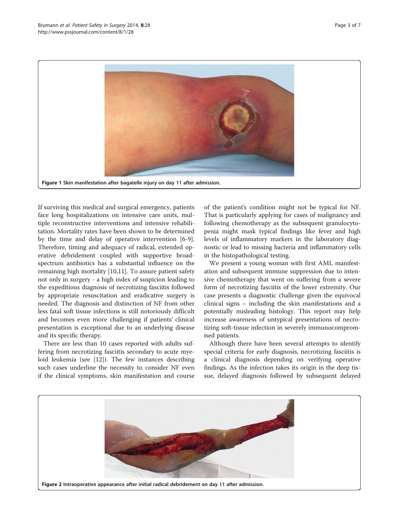<span id="page-2-0"></span>

If surviving this medical and surgical emergency, patients face long hospitalizations on intensive care units, multiple reconstructive interventions and intensive rehabilitation. Mortality rates have been shown to be determined by the time and delay of operative intervention [[6-9](#page-6-0)]. Therefore, timing and adequacy of radical, extended operative debridement coupled with supportive broadspectrum antibiotics has a substantial influence on the remaining high mortality [\[10,11\]](#page-6-0). To assure patient safety not only in surgery - a high index of suspicion leading to the expeditious diagnosis of necrotizing fasciitis followed by appropriate resuscitation and eradicative surgery is needed. The diagnosis and distinction of NF from other less fatal soft tissue infections is still notoriously difficult and becomes even more challenging if patients' clinical presentation is exceptional due to an underlying disease and its specific therapy.

There are less than 10 cases reported with adults suffering from necrotizing fasciitis secondary to acute myeloid leukemia (see [[12\]](#page-6-0)). The few instances describing such cases underline the necessity to consider NF even if the clinical symptoms, skin manifestation and course

of the patient's condition might not be typical for NF. That is particularly applying for cases of malignancy and following chemotherapy as the subsequent granulocytopenia might mask typical findings like fever and high levels of inflammatory markers in the laboratory diagnostic or lead to missing bacteria and inflammatory cells in the histopathological testing.

We present a young woman with first AML manifestation and subsequent immune suppression due to intensive chemotherapy that went on suffering from a severe form of necrotizing fasciitis of the lower extremity. Our case presents a diagnostic challenge given the equivocal clinical signs – including the skin manifestations and a potentially misleading histology. This report may help increase awareness of untypical presentations of necrotizing soft-tissue infection in severely immunocompromised patients.

Although there have been several attempts to identify special criteria for early diagnosis, necrotizing fasciitis is a clinical diagnosis depending on verifying operative findings. As the infection takes its origin in the deep tissue, delayed diagnosis followed by subsequent delayed

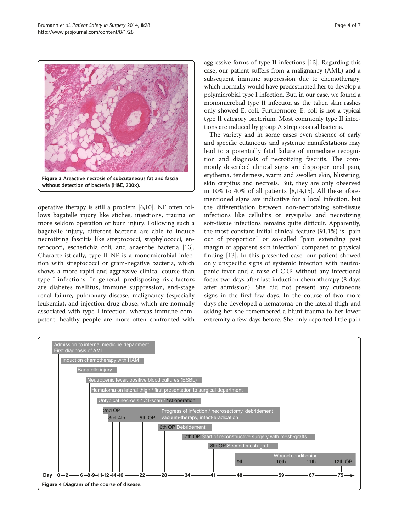<span id="page-3-0"></span>

operative therapy is still a problem [[6,10](#page-6-0)]. NF often follows bagatelle injury like stiches, injections, trauma or more seldom operation or burn injury. Following such a bagatelle injury, different bacteria are able to induce necrotizing fasciitis like streptococci, staphylococci, enterococci, escherichia coli, and anaerobe bacteria [\[13](#page-6-0)]. Characteristically, type II NF is a monomicrobial infection with streptococci or gram-negative bacteria, which shows a more rapid and aggressive clinical course than type I infections. In general, predisposing risk factors are diabetes mellitus, immune suppression, end-stage renal failure, pulmonary disease, malignancy (especially leukemia), and injection drug abuse, which are normally associated with type I infection, whereas immune competent, healthy people are more often confronted with

aggressive forms of type II infections [\[13\]](#page-6-0). Regarding this case, our patient suffers from a malignancy (AML) and a subsequent immune suppression due to chemotherapy, which normally would have predestinated her to develop a polymicrobial type I infection. But, in our case, we found a monomicrobial type II infection as the taken skin rashes only showed E. coli. Furthermore, E. coli is not a typical type II category bacterium. Most commonly type II infections are induced by group A streptococcal bacteria.

The variety and in some cases even absence of early and specific cutaneous and systemic manifestations may lead to a potentially fatal failure of immediate recognition and diagnosis of necrotizing fasciitis. The commonly described clinical signs are disproportional pain, erythema, tenderness, warm and swollen skin, blistering, skin crepitus and necrosis. But, they are only observed in 10% to 40% of all patients [\[8,14,15](#page-6-0)]. All these aforementioned signs are indicative for a local infection, but the differentiation between non-necrotizing soft-tissue infections like cellulitis or erysipelas and necrotizing soft-tissue infections remains quite difficult. Apparently, the most constant initial clinical feature (91,1%) is "pain out of proportion" or so-called "pain extending past margin of apparent skin infection" compared to physical finding [[13](#page-6-0)]. In this presented case, our patient showed only unspecific signs of systemic infection with neutropenic fever and a raise of CRP without any infectional focus two days after last induction chemotherapy (8 days after admission). She did not present any cutaneous signs in the first few days. In the course of two more days she developed a hematoma on the lateral thigh and asking her she remembered a blunt trauma to her lower extremity a few days before. She only reported little pain

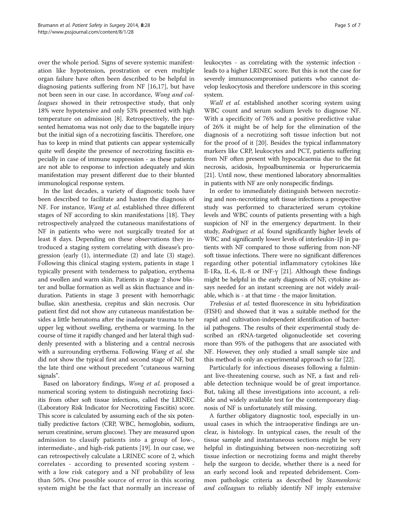over the whole period. Signs of severe systemic manifestation like hypotension, prostration or even multiple organ failure have often been described to be helpful in diagnosing patients suffering from NF [[16](#page-6-0),[17](#page-6-0)], but have not been seen in our case. In accordance, Wong and colleagues showed in their retrospective study, that only 18% were hypotensive and only 53% presented with high temperature on admission [[8\]](#page-6-0). Retrospectively, the presented hematoma was not only due to the bagatelle injury but the initial sign of a necrotizing fasciitis. Therefore, one has to keep in mind that patients can appear systemically quite well despite the presence of necrotizing fasciitis especially in case of immune suppression - as these patients are not able to response to infection adequately and skin manifestation may present different due to their blunted immunological response system.

In the last decades, a variety of diagnostic tools have been described to facilitate and hasten the diagnosis of NF. For instance, Wang et al. established three different stages of NF according to skin manifestations [[18](#page-6-0)]. They retrospectively analyzed the cutaneous manifestations of NF in patients who were not surgically treated for at least 8 days. Depending on these observations they introduced a staging system correlating with disease's progression (early (1), intermediate (2) and late (3) stage). Following this clinical staging system, patients in stage 1 typically present with tenderness to palpation, erythema and swollen and warm skin. Patients in stage 2 show blister and bullae formation as well as skin fluctuance and induration. Patients in stage 3 present with hemorrhagic bullae, skin anesthesia, crepitus and skin necrosis. Our patient first did not show any cutaneous manifestation besides a little hematoma after the inadequate trauma to her upper leg without swelling, erythema or warming. In the course of time it rapidly changed and her lateral thigh suddenly presented with a blistering and a central necrosis with a surrounding erythema. Following *Wang et al.* she did not show the typical first and second stage of NF, but the late third one without precedent "cutaneous warning signals".

Based on laboratory findings, Wong et al. proposed a numerical scoring system to distinguish necrotizing fasciitis from other soft tissue infections, called the LRINEC (Laboratory Risk Indicator for Necrotizing Fasciitis) score. This score is calculated by assuming each of the six potentially predictive factors (CRP, WBC, hemoglobin, sodium, serum creatinine, serum glucose). They are measured upon admission to classify patients into a group of low-, intermediate-, and high-risk patients [\[19](#page-6-0)]. In our case, we can retrospectively calculate a LRINEC score of 2, which correlates - according to presented scoring system with a low risk category and a NF probability of less than 50%. One possible source of error in this scoring system might be the fact that normally an increase of leukocytes - as correlating with the systemic infection leads to a higher LRINEC score. But this is not the case for severely immunocompromised patients who cannot develop leukocytosis and therefore underscore in this scoring system.

Wall et al. established another scoring system using WBC count and serum sodium levels to diagnose NF. With a specificity of 76% and a positive predictive value of 26% it might be of help for the elimination of the diagnosis of a necrotizing soft tissue infection but not for the proof of it [\[20](#page-6-0)]. Besides the typical inflammatory markers like CRP, leukocytes and PCT, patients suffering from NF often present with hypocalcaemia due to the fat necrosis, acidosis, hypoalbuminemia or hyperuricaemia [[21](#page-6-0)]. Until now, these mentioned laboratory abnormalities in patients with NF are only nonspecific findings.

In order to immediately distinguish between necrotizing and non-necrotizing soft tissue infections a prospective study was performed to characterized serum cytokine levels and WBC counts of patients presenting with a high suspicion of NF in the emergency department. In their study, Rodriguez et al. found significantly higher levels of WBC and significantly lower levels of interleukin-1β in patients with NF compared to those suffering from non-NF soft tissue infections. There were no significant differences regarding other potential inflammatory cytokines like Il-1Ra, IL-6, IL-8 or INF-γ [\[21\]](#page-6-0). Although these findings might be helpful in the early diagnosis of NF, cytokine assays needed for an instant screening are not widely available, which is - at that time - the major limitation.

Trebesius et al. tested fluorescence in situ hybridization (FISH) and showed that it was a suitable method for the rapid and cultivation-independent identification of bacterial pathogens. The results of their experimental study described an rRNA-targeted oligonucleotide set covering more than 95% of the pathogens that are associated with NF. However, they only studied a small sample size and this method is only an experimental approach so far [[22](#page-6-0)].

Particularly for infectious diseases following a fulminant live-threatening course, such as NF, a fast and reliable detection technique would be of great importance. But, taking all these investigations into account, a reliable and widely available test for the contemporary diagnosis of NF is unfortunately still missing.

A further obligatory diagnostic tool, especially in unusual cases in which the intraoperative findings are unclear, is histology. In untypical cases, the result of the tissue sample and instantaneous sections might be very helpful in distinguishing between non-necrotizing soft tissue infection or necrotizing forms and might thereby help the surgeon to decide, whether there is a need for an early second look and repeated debridement. Common pathologic criteria as described by Stamenkovic and colleagues to reliably identify NF imply extensive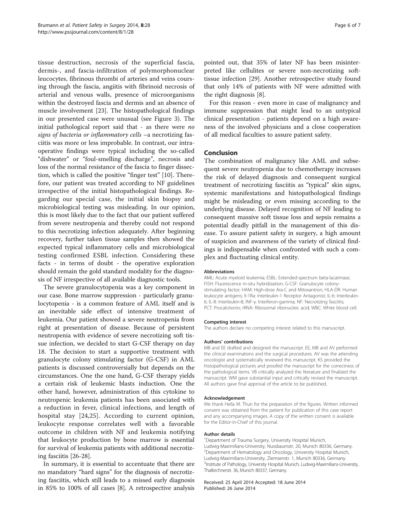tissue destruction, necrosis of the superficial fascia, dermis-, and fascia-infiltration of polymorphonuclear leucocytes, fibrinous thrombi of arteries and veins coursing through the fascia, angiitis with fibrinoid necrosis of arterial and venous walls, presence of microorganisms within the destroyed fascia and dermis and an absence of muscle involvement [\[23\]](#page-6-0). The histopathological findings in our presented case were unusual (see Figure [3](#page-3-0)). The initial pathological report said that - as there were no signs of bacteria or inflammatory cells –a necrotizing fasciitis was more or less improbable. In contrast, our intraoperative findings were typical including the so-called "dishwater" or "foul-smelling discharge", necrosis and loss of the normal resistance of the fascia to finger dissection, which is called the positive "finger test" [[10\]](#page-6-0). Therefore, our patient was treated according to NF guidelines irrespective of the initial histopathological findings. Regarding our special case, the initial skin biopsy and microbiological testing was misleading. In our opinion, this is most likely due to the fact that our patient suffered from severe neutropenia and thereby could not respond to this necrotizing infection adequately. After beginning recovery, further taken tissue samples then showed the expected typical inflammatory cells and microbiological testing confirmed ESBL infection. Considering these facts - in terms of doubt - the operative exploration should remain the gold standard modality for the diagnosis of NF irrespective of all available diagnostic tools.

The severe granulocytopenia was a key component in our case. Bone marrow suppression - particularly granulocytopenia - is a common feature of AML itself and is an inevitable side effect of intensive treatment of leukemia. Our patient showed a severe neutropenia from right at presentation of disease. Because of persistent neutropenia with evidence of severe necrotizing soft tissue infection, we decided to start G-CSF therapy on day 18. The decision to start a supportive treatment with granulocyte colony stimulating factor (G-CSF) in AML patients is discussed controversially but depends on the circumstances. One the one hand, G-CSF therapy yields a certain risk of leukemic blasts induction. One the other hand, however, administration of this cytokine to neutropenic leukemia patients has been associated with a reduction in fever, clinical infections, and length of hospital stay [\[24](#page-6-0),[25\]](#page-6-0). According to current opinion, leukocyte response correlates well with a favorable outcome in children with NF and leukemia notifying that leukocyte production by bone marrow is essential for survival of leukemia patients with additional necrotizing fasciitis [[26-28](#page-6-0)].

In summary, it is essential to accentuate that there are no mandatory "hard signs" for the diagnosis of necrotizing fasciitis, which still leads to a missed early diagnosis in 85% to 100% of all cases [\[8](#page-6-0)]. A retrospective analysis pointed out, that 35% of later NF has been misinterpreted like cellulites or severe non-necrotizing softtissue infection [[29\]](#page-6-0). Another retrospective study found that only 14% of patients with NF were admitted with the right diagnosis [[8](#page-6-0)].

For this reason - even more in case of malignancy and immune suppression that might lead to an untypical clinical presentation - patients depend on a high awareness of the involved physicians and a close cooperation of all medical faculties to assure patient safety.

## Conclusion

The combination of malignancy like AML and subsequent severe neutropenia due to chemotherapy increases the risk of delayed diagnosis and consequent surgical treatment of necrotizing fasciitis as "typical" skin signs, systemic manifestations and histopathological findings might be misleading or even missing according to the underlying disease. Delayed recognition of NF leading to consequent massive soft tissue loss and sepsis remains a potential deadly pitfall in the management of this disease. To assure patient safety in surgery, a high amount of suspicion and awareness of the variety of clinical findings is indispensable when confronted with such a complex and fluctuating clinical entity.

#### Abbreviations

AML: Acute myeloid leukemia; ESBL: Extended-spectrum beta-lacatmase; FISH: Fluorescence in-situ hybridization; G-CSF: Granulocyte colonystimulating factor; HAM: High-dose Ara-C and Mitoxantron; HLA-DR: Human leukocyte antigens; Il-1Ra: Interleukin-1 Receptor Antagonist; IL-6: Interleukin-6; IL-8: Interleukin-8; INF-γ: Interferon-gamma; NF: Necrotizing fasciitis; PCT: Procalcitonin; rRNA: Ribosomal ribonucleic acid; WBC: White blood cell.

#### Competing interest

The authors declare no competing interest related to this manuscript.

#### Authors' contributions

MB and EE drafted and designed the manuscript. EE, MB and AV performed the clinical examinations and the surgical procedures. AV was the attending oncologist and systematically reviewed this manuscript. KS provided the histopathological pictures and proofed the manuscript for the correctness of the pathological items. VB critically analyzed the literature and finalized the manuscript. WM gave substantial input and critically revised the manuscript. All authors gave final approval of the article to be published.

#### Acknowledgement

We thank Hella M. Thun for the preparation of the figures. Written informed consent was obtained from the patient for publication of this case report and any accompanying images. A copy of the written consent is available for the Editor-in-Chief of this journal.

#### Author details

<sup>1</sup> Department of Trauma Surgery, University Hospital Munich Ludwig-Maximilians-University, Nussbaumstr. 20, Munich 80336, Germany. <sup>2</sup>Department of Hematology and Oncology, University Hospital Munich, Ludwig-Maximilians-University, Ziemsenstr. 1, Munich 80336, Germany. <sup>3</sup>Institute of Pathology, University Hospital Munich, Ludwig-Maximilians-University Thalkirchnerstr. 36, Munich 80337, Germany.

#### Received: 25 April 2014 Accepted: 18 June 2014 Published: 26 June 2014